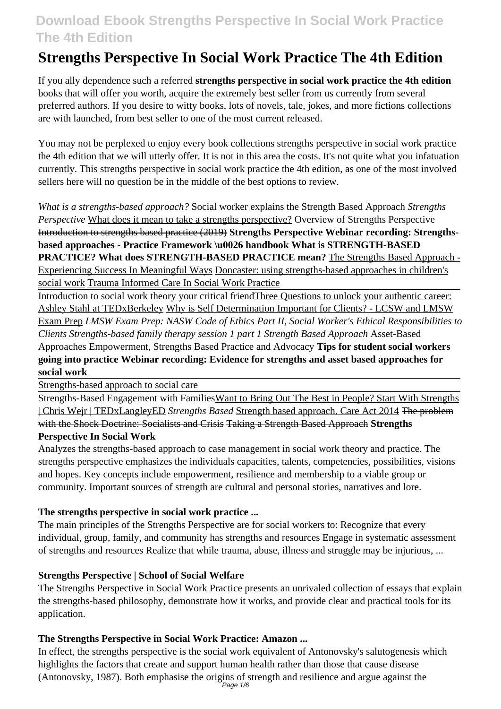# **Strengths Perspective In Social Work Practice The 4th Edition**

If you ally dependence such a referred **strengths perspective in social work practice the 4th edition** books that will offer you worth, acquire the extremely best seller from us currently from several preferred authors. If you desire to witty books, lots of novels, tale, jokes, and more fictions collections are with launched, from best seller to one of the most current released.

You may not be perplexed to enjoy every book collections strengths perspective in social work practice the 4th edition that we will utterly offer. It is not in this area the costs. It's not quite what you infatuation currently. This strengths perspective in social work practice the 4th edition, as one of the most involved sellers here will no question be in the middle of the best options to review.

*What is a strengths-based approach?* Social worker explains the Strength Based Approach *Strengths Perspective* What does it mean to take a strengths perspective? Overview of Strengths Perspective Introduction to strengths based practice (2019) **Strengths Perspective Webinar recording: Strengthsbased approaches - Practice Framework \u0026 handbook What is STRENGTH-BASED PRACTICE? What does STRENGTH-BASED PRACTICE mean?** The Strengths Based Approach - Experiencing Success In Meaningful Ways Doncaster: using strengths-based approaches in children's social work Trauma Informed Care In Social Work Practice

Introduction to social work theory your critical friendThree Questions to unlock your authentic career: Ashley Stahl at TEDxBerkeley Why is Self Determination Important for Clients? - LCSW and LMSW Exam Prep *LMSW Exam Prep: NASW Code of Ethics Part II, Social Worker's Ethical Responsibilities to Clients Strengths-based family therapy session 1 part 1 Strength Based Approach* Asset-Based Approaches Empowerment, Strengths Based Practice and Advocacy **Tips for student social workers going into practice Webinar recording: Evidence for strengths and asset based approaches for social work**

Strengths-based approach to social care

Strengths-Based Engagement with FamiliesWant to Bring Out The Best in People? Start With Strengths | Chris Wejr | TEDxLangleyED *Strengths Based* Strength based approach. Care Act 2014 The problem with the Shock Doctrine: Socialists and Crisis Taking a Strength Based Approach **Strengths**

## **Perspective In Social Work**

Analyzes the strengths-based approach to case management in social work theory and practice. The strengths perspective emphasizes the individuals capacities, talents, competencies, possibilities, visions and hopes. Key concepts include empowerment, resilience and membership to a viable group or community. Important sources of strength are cultural and personal stories, narratives and lore.

## **The strengths perspective in social work practice ...**

The main principles of the Strengths Perspective are for social workers to: Recognize that every individual, group, family, and community has strengths and resources Engage in systematic assessment of strengths and resources Realize that while trauma, abuse, illness and struggle may be injurious, ...

#### **Strengths Perspective | School of Social Welfare**

The Strengths Perspective in Social Work Practice presents an unrivaled collection of essays that explain the strengths-based philosophy, demonstrate how it works, and provide clear and practical tools for its application.

## **The Strengths Perspective in Social Work Practice: Amazon ...**

In effect, the strengths perspective is the social work equivalent of Antonovsky's salutogenesis which highlights the factors that create and support human health rather than those that cause disease (Antonovsky, 1987). Both emphasise the origins of strength and resilience and argue against the Page 1/6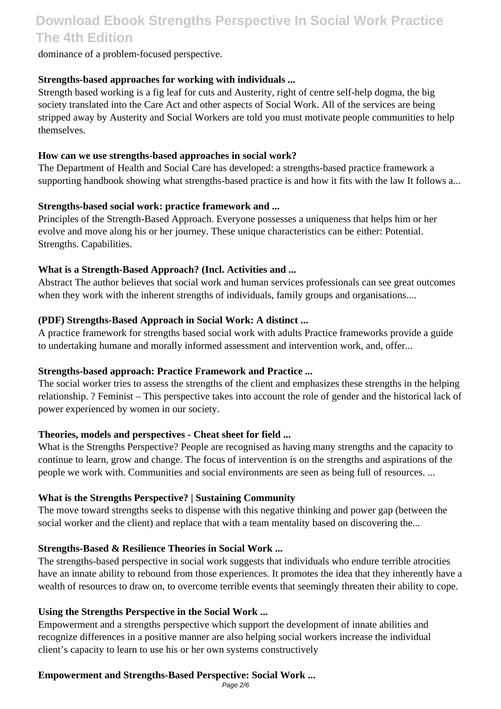dominance of a problem-focused perspective.

### **Strengths-based approaches for working with individuals ...**

Strength based working is a fig leaf for cuts and Austerity, right of centre self-help dogma, the big society translated into the Care Act and other aspects of Social Work. All of the services are being stripped away by Austerity and Social Workers are told you must motivate people communities to help themselves.

#### **How can we use strengths-based approaches in social work?**

The Department of Health and Social Care has developed: a strengths-based practice framework a supporting handbook showing what strengths-based practice is and how it fits with the law It follows a...

### **Strengths-based social work: practice framework and ...**

Principles of the Strength-Based Approach. Everyone possesses a uniqueness that helps him or her evolve and move along his or her journey. These unique characteristics can be either: Potential. Strengths. Capabilities.

### **What is a Strength-Based Approach? (Incl. Activities and ...**

Abstract The author believes that social work and human services professionals can see great outcomes when they work with the inherent strengths of individuals, family groups and organisations....

### **(PDF) Strengths-Based Approach in Social Work: A distinct ...**

A practice framework for strengths based social work with adults Practice frameworks provide a guide to undertaking humane and morally informed assessment and intervention work, and, offer...

#### **Strengths-based approach: Practice Framework and Practice ...**

The social worker tries to assess the strengths of the client and emphasizes these strengths in the helping relationship. ? Feminist – This perspective takes into account the role of gender and the historical lack of power experienced by women in our society.

#### **Theories, models and perspectives - Cheat sheet for field ...**

What is the Strengths Perspective? People are recognised as having many strengths and the capacity to continue to learn, grow and change. The focus of intervention is on the strengths and aspirations of the people we work with. Communities and social environments are seen as being full of resources. ...

#### **What is the Strengths Perspective? | Sustaining Community**

The move toward strengths seeks to dispense with this negative thinking and power gap (between the social worker and the client) and replace that with a team mentality based on discovering the...

## **Strengths-Based & Resilience Theories in Social Work ...**

The strengths-based perspective in social work suggests that individuals who endure terrible atrocities have an innate ability to rebound from those experiences. It promotes the idea that they inherently have a wealth of resources to draw on, to overcome terrible events that seemingly threaten their ability to cope.

#### **Using the Strengths Perspective in the Social Work ...**

Empowerment and a strengths perspective which support the development of innate abilities and recognize differences in a positive manner are also helping social workers increase the individual client's capacity to learn to use his or her own systems constructively

## **Empowerment and Strengths-Based Perspective: Social Work ...**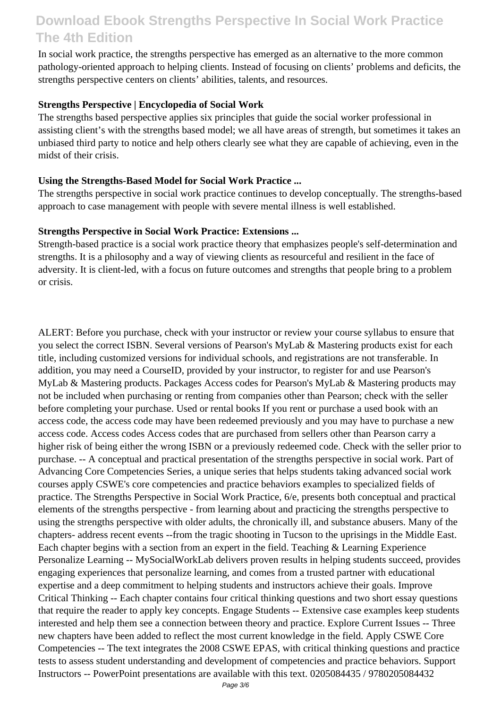In social work practice, the strengths perspective has emerged as an alternative to the more common pathology-oriented approach to helping clients. Instead of focusing on clients' problems and deficits, the strengths perspective centers on clients' abilities, talents, and resources.

### **Strengths Perspective | Encyclopedia of Social Work**

The strengths based perspective applies six principles that guide the social worker professional in assisting client's with the strengths based model; we all have areas of strength, but sometimes it takes an unbiased third party to notice and help others clearly see what they are capable of achieving, even in the midst of their crisis.

### **Using the Strengths-Based Model for Social Work Practice ...**

The strengths perspective in social work practice continues to develop conceptually. The strengths-based approach to case management with people with severe mental illness is well established.

#### **Strengths Perspective in Social Work Practice: Extensions ...**

Strength-based practice is a social work practice theory that emphasizes people's self-determination and strengths. It is a philosophy and a way of viewing clients as resourceful and resilient in the face of adversity. It is client-led, with a focus on future outcomes and strengths that people bring to a problem or crisis.

ALERT: Before you purchase, check with your instructor or review your course syllabus to ensure that you select the correct ISBN. Several versions of Pearson's MyLab & Mastering products exist for each title, including customized versions for individual schools, and registrations are not transferable. In addition, you may need a CourseID, provided by your instructor, to register for and use Pearson's MyLab & Mastering products. Packages Access codes for Pearson's MyLab & Mastering products may not be included when purchasing or renting from companies other than Pearson; check with the seller before completing your purchase. Used or rental books If you rent or purchase a used book with an access code, the access code may have been redeemed previously and you may have to purchase a new access code. Access codes Access codes that are purchased from sellers other than Pearson carry a higher risk of being either the wrong ISBN or a previously redeemed code. Check with the seller prior to purchase. -- A conceptual and practical presentation of the strengths perspective in social work. Part of Advancing Core Competencies Series, a unique series that helps students taking advanced social work courses apply CSWE's core competencies and practice behaviors examples to specialized fields of practice. The Strengths Perspective in Social Work Practice, 6/e, presents both conceptual and practical elements of the strengths perspective - from learning about and practicing the strengths perspective to using the strengths perspective with older adults, the chronically ill, and substance abusers. Many of the chapters- address recent events --from the tragic shooting in Tucson to the uprisings in the Middle East. Each chapter begins with a section from an expert in the field. Teaching & Learning Experience Personalize Learning -- MySocialWorkLab delivers proven results in helping students succeed, provides engaging experiences that personalize learning, and comes from a trusted partner with educational expertise and a deep commitment to helping students and instructors achieve their goals. Improve Critical Thinking -- Each chapter contains four critical thinking questions and two short essay questions that require the reader to apply key concepts. Engage Students -- Extensive case examples keep students interested and help them see a connection between theory and practice. Explore Current Issues -- Three new chapters have been added to reflect the most current knowledge in the field. Apply CSWE Core Competencies -- The text integrates the 2008 CSWE EPAS, with critical thinking questions and practice tests to assess student understanding and development of competencies and practice behaviors. Support Instructors -- PowerPoint presentations are available with this text. 0205084435 / 9780205084432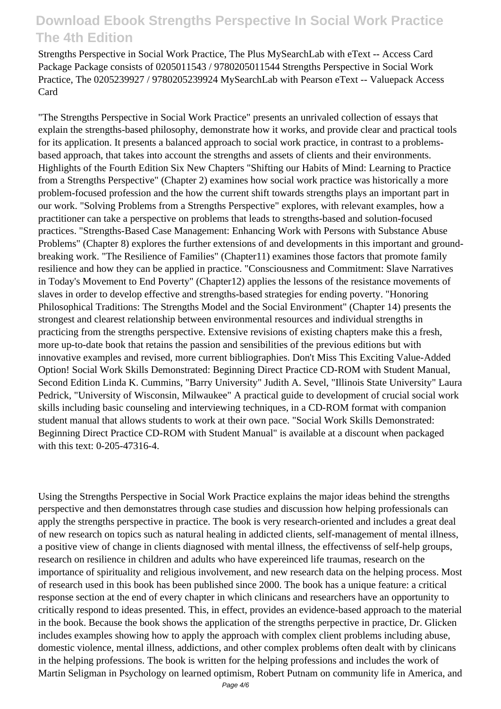Strengths Perspective in Social Work Practice, The Plus MySearchLab with eText -- Access Card Package Package consists of 0205011543 / 9780205011544 Strengths Perspective in Social Work Practice, The 0205239927 / 9780205239924 MySearchLab with Pearson eText -- Valuepack Access Card

"The Strengths Perspective in Social Work Practice" presents an unrivaled collection of essays that explain the strengths-based philosophy, demonstrate how it works, and provide clear and practical tools for its application. It presents a balanced approach to social work practice, in contrast to a problemsbased approach, that takes into account the strengths and assets of clients and their environments. Highlights of the Fourth Edition Six New Chapters "Shifting our Habits of Mind: Learning to Practice from a Strengths Perspective" (Chapter 2) examines how social work practice was historically a more problem-focused profession and the how the current shift towards strengths plays an important part in our work. "Solving Problems from a Strengths Perspective" explores, with relevant examples, how a practitioner can take a perspective on problems that leads to strengths-based and solution-focused practices. "Strengths-Based Case Management: Enhancing Work with Persons with Substance Abuse Problems" (Chapter 8) explores the further extensions of and developments in this important and groundbreaking work. "The Resilience of Families" (Chapter11) examines those factors that promote family resilience and how they can be applied in practice. "Consciousness and Commitment: Slave Narratives in Today's Movement to End Poverty" (Chapter12) applies the lessons of the resistance movements of slaves in order to develop effective and strengths-based strategies for ending poverty. "Honoring Philosophical Traditions: The Strengths Model and the Social Environment" (Chapter 14) presents the strongest and clearest relationship between environmental resources and individual strengths in practicing from the strengths perspective. Extensive revisions of existing chapters make this a fresh, more up-to-date book that retains the passion and sensibilities of the previous editions but with innovative examples and revised, more current bibliographies. Don't Miss This Exciting Value-Added Option! Social Work Skills Demonstrated: Beginning Direct Practice CD-ROM with Student Manual, Second Edition Linda K. Cummins, "Barry University" Judith A. Sevel, "Illinois State University" Laura Pedrick, "University of Wisconsin, Milwaukee" A practical guide to development of crucial social work skills including basic counseling and interviewing techniques, in a CD-ROM format with companion student manual that allows students to work at their own pace. "Social Work Skills Demonstrated: Beginning Direct Practice CD-ROM with Student Manual" is available at a discount when packaged with this text: 0-205-47316-4.

Using the Strengths Perspective in Social Work Practice explains the major ideas behind the strengths perspective and then demonstatres through case studies and discussion how helping professionals can apply the strengths perspective in practice. The book is very research-oriented and includes a great deal of new research on topics such as natural healing in addicted clients, self-management of mental illness, a positive view of change in clients diagnosed with mental illness, the effectivenss of self-help groups, research on resilience in children and adults who have expereinced life traumas, research on the importance of spirituality and religious involvement, and new research data on the helping process. Most of research used in this book has been published since 2000. The book has a unique feature: a critical response section at the end of every chapter in which clinicans and researchers have an opportunity to critically respond to ideas presented. This, in effect, provides an evidence-based approach to the material in the book. Because the book shows the application of the strengths perpective in practice, Dr. Glicken includes examples showing how to apply the approach with complex client problems including abuse, domestic violence, mental illness, addictions, and other complex problems often dealt with by clinicans in the helping professions. The book is written for the helping professions and includes the work of Martin Seligman in Psychology on learned optimism, Robert Putnam on community life in America, and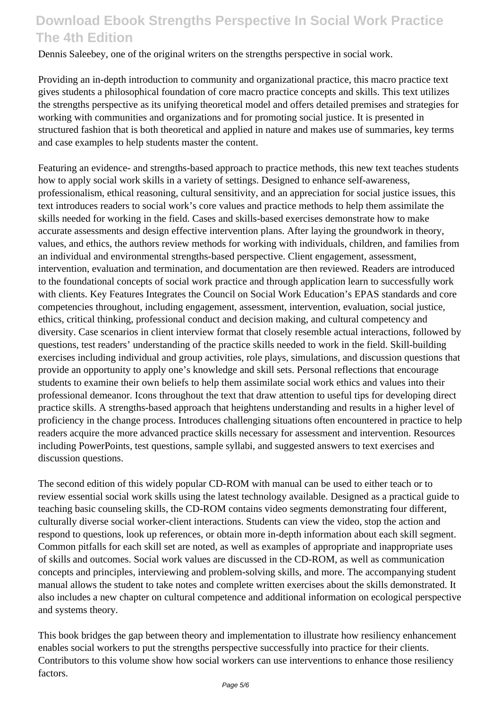Dennis Saleebey, one of the original writers on the strengths perspective in social work.

Providing an in-depth introduction to community and organizational practice, this macro practice text gives students a philosophical foundation of core macro practice concepts and skills. This text utilizes the strengths perspective as its unifying theoretical model and offers detailed premises and strategies for working with communities and organizations and for promoting social justice. It is presented in structured fashion that is both theoretical and applied in nature and makes use of summaries, key terms and case examples to help students master the content.

Featuring an evidence- and strengths-based approach to practice methods, this new text teaches students how to apply social work skills in a variety of settings. Designed to enhance self-awareness, professionalism, ethical reasoning, cultural sensitivity, and an appreciation for social justice issues, this text introduces readers to social work's core values and practice methods to help them assimilate the skills needed for working in the field. Cases and skills-based exercises demonstrate how to make accurate assessments and design effective intervention plans. After laying the groundwork in theory, values, and ethics, the authors review methods for working with individuals, children, and families from an individual and environmental strengths-based perspective. Client engagement, assessment, intervention, evaluation and termination, and documentation are then reviewed. Readers are introduced to the foundational concepts of social work practice and through application learn to successfully work with clients. Key Features Integrates the Council on Social Work Education's EPAS standards and core competencies throughout, including engagement, assessment, intervention, evaluation, social justice, ethics, critical thinking, professional conduct and decision making, and cultural competency and diversity. Case scenarios in client interview format that closely resemble actual interactions, followed by questions, test readers' understanding of the practice skills needed to work in the field. Skill-building exercises including individual and group activities, role plays, simulations, and discussion questions that provide an opportunity to apply one's knowledge and skill sets. Personal reflections that encourage students to examine their own beliefs to help them assimilate social work ethics and values into their professional demeanor. Icons throughout the text that draw attention to useful tips for developing direct practice skills. A strengths-based approach that heightens understanding and results in a higher level of proficiency in the change process. Introduces challenging situations often encountered in practice to help readers acquire the more advanced practice skills necessary for assessment and intervention. Resources including PowerPoints, test questions, sample syllabi, and suggested answers to text exercises and discussion questions.

The second edition of this widely popular CD-ROM with manual can be used to either teach or to review essential social work skills using the latest technology available. Designed as a practical guide to teaching basic counseling skills, the CD-ROM contains video segments demonstrating four different, culturally diverse social worker-client interactions. Students can view the video, stop the action and respond to questions, look up references, or obtain more in-depth information about each skill segment. Common pitfalls for each skill set are noted, as well as examples of appropriate and inappropriate uses of skills and outcomes. Social work values are discussed in the CD-ROM, as well as communication concepts and principles, interviewing and problem-solving skills, and more. The accompanying student manual allows the student to take notes and complete written exercises about the skills demonstrated. It also includes a new chapter on cultural competence and additional information on ecological perspective and systems theory.

This book bridges the gap between theory and implementation to illustrate how resiliency enhancement enables social workers to put the strengths perspective successfully into practice for their clients. Contributors to this volume show how social workers can use interventions to enhance those resiliency factors.